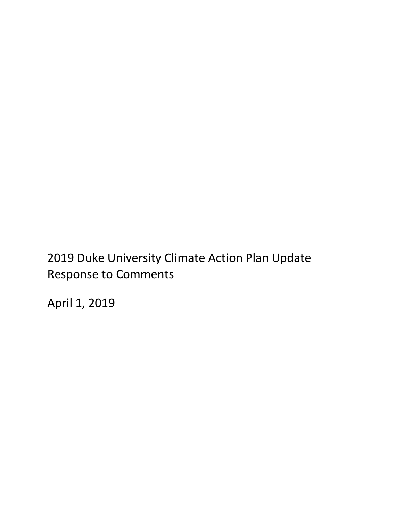# 2019 Duke University Climate Action Plan Update Response to Comments

April 1, 2019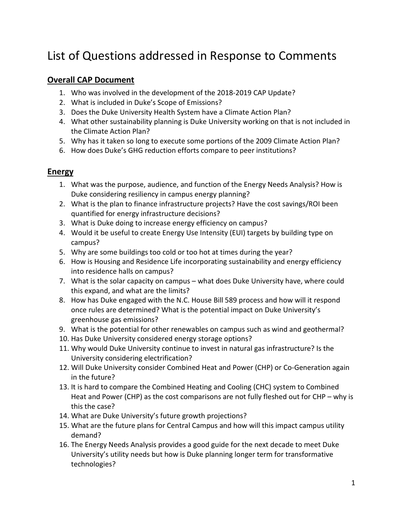# List of Questions addressed in Response to Comments

#### **Overall CAP Document**

- 1. Who was involved in the development of the 2018-2019 CAP Update?
- 2. What is included in Duke's Scope of Emissions?
- 3. Does the Duke University Health System have a Climate Action Plan?
- 4. What other sustainability planning is Duke University working on that is not included in the Climate Action Plan?
- 5. Why has it taken so long to execute some portions of the 2009 Climate Action Plan?
- 6. How does Duke's GHG reduction efforts compare to peer institutions?

#### **Energy**

- 1. What was the purpose, audience, and function of the Energy Needs Analysis? How is Duke considering resiliency in campus energy planning?
- 2. What is the plan to finance infrastructure projects? Have the cost savings/ROI been quantified for energy infrastructure decisions?
- 3. What is Duke doing to increase energy efficiency on campus?
- 4. Would it be useful to create Energy Use Intensity (EUI) targets by building type on campus?
- 5. Why are some buildings too cold or too hot at times during the year?
- 6. How is Housing and Residence Life incorporating sustainability and energy efficiency into residence halls on campus?
- 7. What is the solar capacity on campus what does Duke University have, where could this expand, and what are the limits?
- 8. How has Duke engaged with the N.C. House Bill 589 process and how will it respond once rules are determined? What is the potential impact on Duke University's greenhouse gas emissions?
- 9. What is the potential for other renewables on campus such as wind and geothermal?
- 10. Has Duke University considered energy storage options?
- 11. Why would Duke University continue to invest in natural gas infrastructure? Is the University considering electrification?
- 12. Will Duke University consider Combined Heat and Power (CHP) or Co-Generation again in the future?
- 13. It is hard to compare the Combined Heating and Cooling (CHC) system to Combined Heat and Power (CHP) as the cost comparisons are not fully fleshed out for CHP – why is this the case?
- 14. What are Duke University's future growth projections?
- 15. What are the future plans for Central Campus and how will this impact campus utility demand?
- 16. The Energy Needs Analysis provides a good guide for the next decade to meet Duke University's utility needs but how is Duke planning longer term for transformative technologies?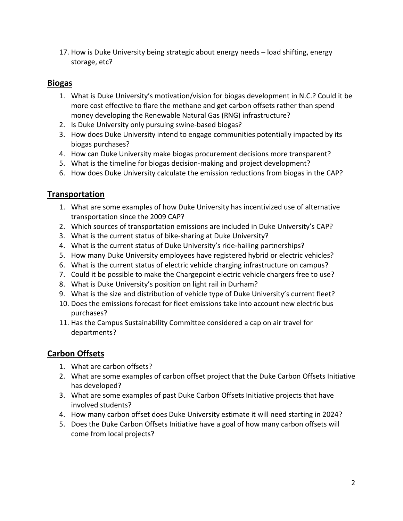17. How is Duke University being strategic about energy needs – load shifting, energy storage, etc?

#### **Biogas**

- 1. What is Duke University's motivation/vision for biogas development in N.C.? Could it be more cost effective to flare the methane and get carbon offsets rather than spend money developing the Renewable Natural Gas (RNG) infrastructure?
- 2. Is Duke University only pursuing swine-based biogas?
- 3. How does Duke University intend to engage communities potentially impacted by its biogas purchases?
- 4. How can Duke University make biogas procurement decisions more transparent?
- 5. What is the timeline for biogas decision-making and project development?
- 6. How does Duke University calculate the emission reductions from biogas in the CAP?

### **Transportation**

- 1. What are some examples of how Duke University has incentivized use of alternative transportation since the 2009 CAP?
- 2. Which sources of transportation emissions are included in Duke University's CAP?
- 3. What is the current status of bike-sharing at Duke University?
- 4. What is the current status of Duke University's ride-hailing partnerships?
- 5. How many Duke University employees have registered hybrid or electric vehicles?
- 6. What is the current status of electric vehicle charging infrastructure on campus?
- 7. Could it be possible to make the Chargepoint electric vehicle chargers free to use?
- 8. What is Duke University's position on light rail in Durham?
- 9. What is the size and distribution of vehicle type of Duke University's current fleet?
- 10. Does the emissions forecast for fleet emissions take into account new electric bus purchases?
- 11. Has the Campus Sustainability Committee considered a cap on air travel for departments?

#### **Carbon Offsets**

- 1. What are carbon offsets?
- 2. What are some examples of carbon offset project that the Duke Carbon Offsets Initiative has developed?
- 3. What are some examples of past Duke Carbon Offsets Initiative projects that have involved students?
- 4. How many carbon offset does Duke University estimate it will need starting in 2024?
- 5. Does the Duke Carbon Offsets Initiative have a goal of how many carbon offsets will come from local projects?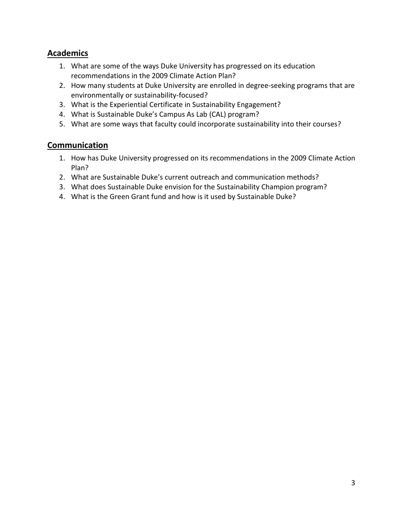#### **Academics**

- 1. What are some of the ways Duke University has progressed on its education recommendations in the 2009 Climate Action Plan?
- 2. How many students at Duke University are enrolled in degree-seeking programs that are environmentally or sustainability-focused?
- 3. What is the Experiential Certificate in Sustainability Engagement?
- 4. What is Sustainable Duke's Campus As Lab (CAL) program?
- 5. What are some ways that faculty could incorporate sustainability into their courses?

#### **Communication**

- 1. How has Duke University progressed on its recommendations in the 2009 Climate Action Plan?
- 2. What are Sustainable Duke's current outreach and communication methods?
- 3. What does Sustainable Duke envision for the Sustainability Champion program?
- 4. What is the Green Grant fund and how is it used by Sustainable Duke?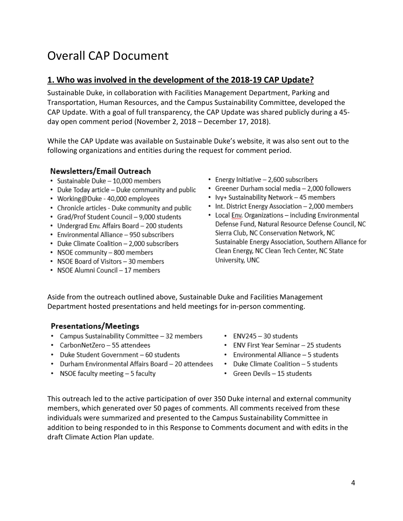# Overall CAP Document

#### **1. Who was involved in the development of the 2018-19 CAP Update?**

Sustainable Duke, in collaboration with Facilities Management Department, Parking and Transportation, Human Resources, and the Campus Sustainability Committee, developed the CAP Update. With a goal of full transparency, the CAP Update was shared publicly during a 45 day open comment period (November 2, 2018 – December 17, 2018).

While the CAP Update was available on Sustainable Duke's website, it was also sent out to the following organizations and entities during the request for comment period.

#### Newsletters/Email Outreach

- · Sustainable Duke 10,000 members
- Duke Today article Duke community and public
- Working@Duke 40,000 employees
- Chronicle articles Duke community and public
- Grad/Prof Student Council 9,000 students
- Undergrad Env. Affairs Board 200 students
- Environmental Alliance 950 subscribers
- Duke Climate Coalition 2,000 subscribers
- NSOE community 800 members
- NSOE Board of Visitors 30 members
- NSOE Alumni Council 17 members
- Energy Initiative 2,600 subscribers
- Greener Durham social media 2,000 followers
- Ivy+ Sustainability Network 45 members
- Int. District Energy Association 2,000 members
- Local Env. Organizations including Environmental Defense Fund, Natural Resource Defense Council, NC Sierra Club, NC Conservation Network, NC Sustainable Energy Association, Southern Alliance for Clean Energy, NC Clean Tech Center, NC State University, UNC

Aside from the outreach outlined above, Sustainable Duke and Facilities Management Department hosted presentations and held meetings for in-person commenting.

#### **Presentations/Meetings**

- Campus Sustainability Committee 32 members
- CarbonNetZero 55 attendees
- Duke Student Government 60 students
- Durham Environmental Affairs Board 20 attendees
- NSOE faculty meeting 5 faculty
- ENV245 30 students
- ENV First Year Seminar 25 students
- Environmental Alliance 5 students
- Duke Climate Coalition 5 students
- Green Devils 15 students

This outreach led to the active participation of over 350 Duke internal and external community members, which generated over 50 pages of comments. All comments received from these individuals were summarized and presented to the Campus Sustainability Committee in addition to being responded to in this Response to Comments document and with edits in the draft Climate Action Plan update.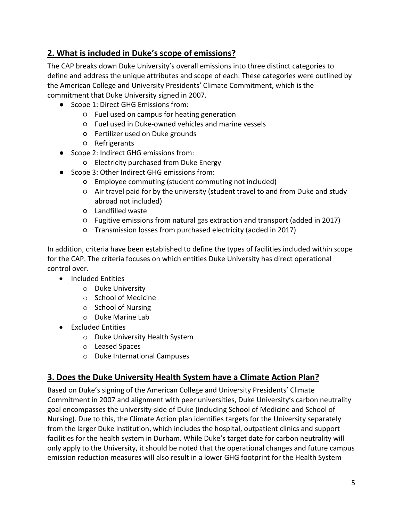# **2. What is included in Duke's scope of emissions?**

The CAP breaks down Duke University's overall emissions into three distinct categories to define and address the unique attributes and scope of each. These categories were outlined by the American College and University Presidents' Climate Commitment, which is the commitment that Duke University signed in 2007.

- Scope 1: Direct GHG Emissions from:
	- Fuel used on campus for heating generation
	- Fuel used in Duke-owned vehicles and marine vessels
	- Fertilizer used on Duke grounds
	- Refrigerants
- Scope 2: Indirect GHG emissions from:
	- Electricity purchased from Duke Energy
- Scope 3: Other Indirect GHG emissions from:
	- Employee commuting (student commuting not included)
	- Air travel paid for by the university (student travel to and from Duke and study abroad not included)
	- Landfilled waste
	- Fugitive emissions from natural gas extraction and transport (added in 2017)
	- Transmission losses from purchased electricity (added in 2017)

In addition, criteria have been established to define the types of facilities included within scope for the CAP. The criteria focuses on which entities Duke University has direct operational control over.

- Included Entities
	- o Duke University
	- o School of Medicine
	- o School of Nursing
	- o Duke Marine Lab
- Excluded Entities
	- o Duke University Health System
	- o Leased Spaces
	- o Duke International Campuses

#### **3. Does the Duke University Health System have a Climate Action Plan?**

Based on Duke's signing of the American College and University Presidents' Climate Commitment in 2007 and alignment with peer universities, Duke University's carbon neutrality goal encompasses the university-side of Duke (including School of Medicine and School of Nursing). Due to this, the Climate Action plan identifies targets for the University separately from the larger Duke institution, which includes the hospital, outpatient clinics and support facilities for the health system in Durham. While Duke's target date for carbon neutrality will only apply to the University, it should be noted that the operational changes and future campus emission reduction measures will also result in a lower GHG footprint for the Health System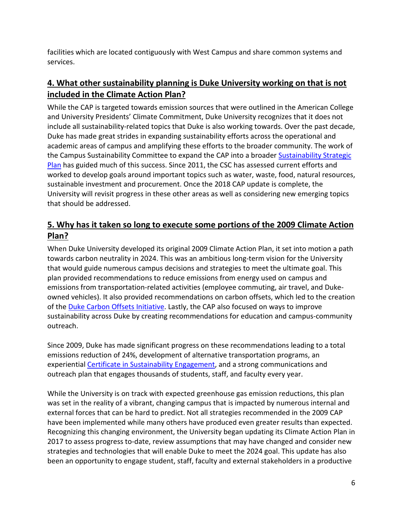facilities which are located contiguously with West Campus and share common systems and services.

# **4. What other sustainability planning is Duke University working on that is not included in the Climate Action Plan?**

While the CAP is targeted towards emission sources that were outlined in the American College and University Presidents' Climate Commitment, Duke University recognizes that it does not include all sustainability-related topics that Duke is also working towards. Over the past decade, Duke has made great strides in expanding sustainability efforts across the operational and academic areas of campus and amplifying these efforts to the broader community. The work of the Campus Sustainability Committee to expand the CAP into a broader Sustainability Strategic [Plan](https://sustainability.duke.edu/campus-metrics) has guided much of this success. Since 2011, the CSC has assessed current efforts and worked to develop goals around important topics such as water, waste, food, natural resources, sustainable investment and procurement. Once the 2018 CAP update is complete, the University will revisit progress in these other areas as well as considering new emerging topics that should be addressed.

# **5. Why has it taken so long to execute some portions of the 2009 Climate Action Plan?**

When Duke University developed its original 2009 Climate Action Plan, it set into motion a path towards carbon neutrality in 2024. This was an ambitious long-term vision for the University that would guide numerous campus decisions and strategies to meet the ultimate goal. This plan provided recommendations to reduce emissions from energy used on campus and emissions from transportation-related activities (employee commuting, air travel, and Dukeowned vehicles). It also provided recommendations on carbon offsets, which led to the creation of th[e Duke Carbon Offsets Initiative.](https://sustainability.duke.edu/offsets) Lastly, the CAP also focused on ways to improve sustainability across Duke by creating recommendations for education and campus-community outreach.

Since 2009, Duke has made significant progress on these recommendations leading to a total emissions reduction of 24%, development of alternative transportation programs, an experientia[l Certificate in Sustainability Engagement,](https://sustainability.duke.edu/sustainability-certificate) and a strong communications and outreach plan that engages thousands of students, staff, and faculty every year.

While the University is on track with expected greenhouse gas emission reductions, this plan was set in the reality of a vibrant, changing campus that is impacted by numerous internal and external forces that can be hard to predict. Not all strategies recommended in the 2009 CAP have been implemented while many others have produced even greater results than expected. Recognizing this changing environment, the University began updating its Climate Action Plan in 2017 to assess progress to-date, review assumptions that may have changed and consider new strategies and technologies that will enable Duke to meet the 2024 goal. This update has also been an opportunity to engage student, staff, faculty and external stakeholders in a productive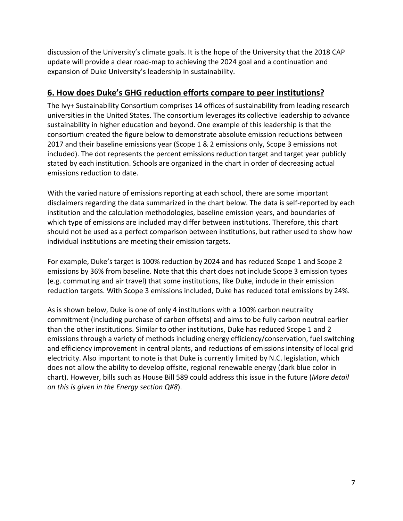discussion of the University's climate goals. It is the hope of the University that the 2018 CAP update will provide a clear road-map to achieving the 2024 goal and a continuation and expansion of Duke University's leadership in sustainability.

#### **6. How does Duke's GHG reduction efforts compare to peer institutions?**

The Ivy+ Sustainability Consortium comprises 14 offices of sustainability from leading research universities in the United States. The consortium leverages its collective leadership to advance sustainability in higher education and beyond. One example of this leadership is that the consortium created the figure below to demonstrate absolute emission reductions between 2017 and their baseline emissions year (Scope 1 & 2 emissions only, Scope 3 emissions not included). The dot represents the percent emissions reduction target and target year publicly stated by each institution. Schools are organized in the chart in order of decreasing actual emissions reduction to date.

With the varied nature of emissions reporting at each school, there are some important disclaimers regarding the data summarized in the chart below. The data is self-reported by each institution and the calculation methodologies, baseline emission years, and boundaries of which type of emissions are included may differ between institutions. Therefore, this chart should not be used as a perfect comparison between institutions, but rather used to show how individual institutions are meeting their emission targets.

For example, Duke's target is 100% reduction by 2024 and has reduced Scope 1 and Scope 2 emissions by 36% from baseline. Note that this chart does not include Scope 3 emission types (e.g. commuting and air travel) that some institutions, like Duke, include in their emission reduction targets. With Scope 3 emissions included, Duke has reduced total emissions by 24%.

As is shown below, Duke is one of only 4 institutions with a 100% carbon neutrality commitment (including purchase of carbon offsets) and aims to be fully carbon neutral earlier than the other institutions. Similar to other institutions, Duke has reduced Scope 1 and 2 emissions through a variety of methods including energy efficiency/conservation, fuel switching and efficiency improvement in central plants, and reductions of emissions intensity of local grid electricity. Also important to note is that Duke is currently limited by N.C. legislation, which does not allow the ability to develop offsite, regional renewable energy (dark blue color in chart). However, bills such as House Bill 589 could address this issue in the future (*More detail on this is given in the Energy section Q#8*).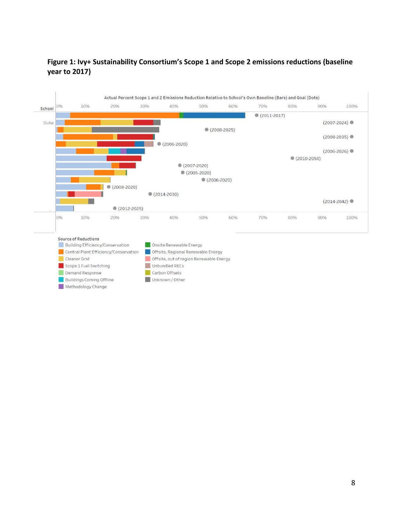#### **Figure 1: Ivy+ Sustainability Consortium's Scope 1 and Scope 2 emissions reductions (baseline year to 2017)**

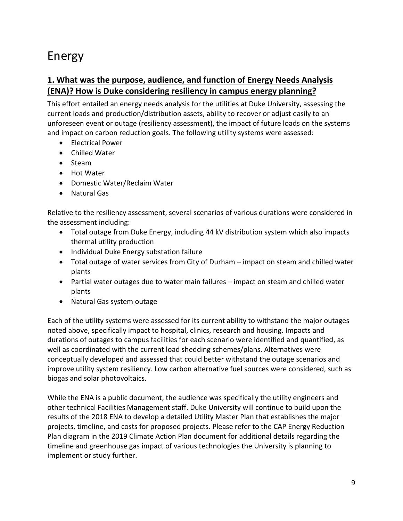# Energy

## **1. What was the purpose, audience, and function of Energy Needs Analysis (ENA)? How is Duke considering resiliency in campus energy planning?**

This effort entailed an energy needs analysis for the utilities at Duke University, assessing the current loads and production/distribution assets, ability to recover or adjust easily to an unforeseen event or outage (resiliency assessment), the impact of future loads on the systems and impact on carbon reduction goals. The following utility systems were assessed:

- Electrical Power
- Chilled Water
- Steam
- Hot Water
- Domestic Water/Reclaim Water
- Natural Gas

Relative to the resiliency assessment, several scenarios of various durations were considered in the assessment including:

- Total outage from Duke Energy, including 44 kV distribution system which also impacts thermal utility production
- Individual Duke Energy substation failure
- Total outage of water services from City of Durham impact on steam and chilled water plants
- Partial water outages due to water main failures impact on steam and chilled water plants
- Natural Gas system outage

Each of the utility systems were assessed for its current ability to withstand the major outages noted above, specifically impact to hospital, clinics, research and housing. Impacts and durations of outages to campus facilities for each scenario were identified and quantified, as well as coordinated with the current load shedding schemes/plans. Alternatives were conceptually developed and assessed that could better withstand the outage scenarios and improve utility system resiliency. Low carbon alternative fuel sources were considered, such as biogas and solar photovoltaics.

While the ENA is a public document, the audience was specifically the utility engineers and other technical Facilities Management staff. Duke University will continue to build upon the results of the 2018 ENA to develop a detailed Utility Master Plan that establishes the major projects, timeline, and costs for proposed projects. Please refer to the CAP Energy Reduction Plan diagram in the 2019 Climate Action Plan document for additional details regarding the timeline and greenhouse gas impact of various technologies the University is planning to implement or study further.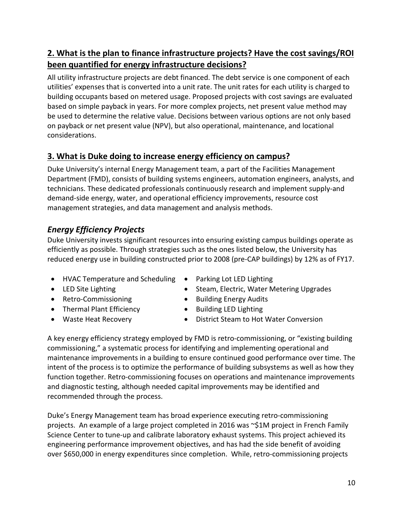# **2. What is the plan to finance infrastructure projects? Have the cost savings/ROI been quantified for energy infrastructure decisions?**

All utility infrastructure projects are debt financed. The debt service is one component of each utilities' expenses that is converted into a unit rate. The unit rates for each utility is charged to building occupants based on metered usage. Proposed projects with cost savings are evaluated based on simple payback in years. For more complex projects, net present value method may be used to determine the relative value. Decisions between various options are not only based on payback or net present value (NPV), but also operational, maintenance, and locational considerations.

## **3. What is Duke doing to increase energy efficiency on campus?**

Duke University's internal Energy Management team, a part of the Facilities Management Department (FMD), consists of building systems engineers, automation engineers, analysts, and technicians. These dedicated professionals continuously research and implement supply-and demand-side energy, water, and operational efficiency improvements, resource cost management strategies, and data management and analysis methods.

# *Energy Efficiency Projects*

Duke University invests significant resources into ensuring existing campus buildings operate as efficiently as possible. Through strategies such as the ones listed below, the University has reduced energy use in building constructed prior to 2008 (pre-CAP buildings) by 12% as of FY17.

- HVAC Temperature and Scheduling Parking Lot LED Lighting
- 
- 
- Thermal Plant Efficiency Building LED Lighting
- 
- 
- LED Site Lighting **•** Steam, Electric, Water Metering Upgrades
- Retro-Commissioning Building Energy Audits
	-
- Waste Heat Recovery District Steam to Hot Water Conversion

A key energy efficiency strategy employed by FMD is retro-commissioning, or "existing building commissioning," a systematic process for identifying and implementing operational and maintenance improvements in a building to ensure continued good performance over time. The intent of the process is to optimize the performance of building subsystems as well as how they function together. Retro-commissioning focuses on operations and maintenance improvements and diagnostic testing, although needed capital improvements may be identified and recommended through the process.

Duke's Energy Management team has broad experience executing retro-commissioning projects. An example of a large project completed in 2016 was ~\$1M project in French Family Science Center to tune-up and calibrate laboratory exhaust systems. This project achieved its engineering performance improvement objectives, and has had the side benefit of avoiding over \$650,000 in energy expenditures since completion. While, retro-commissioning projects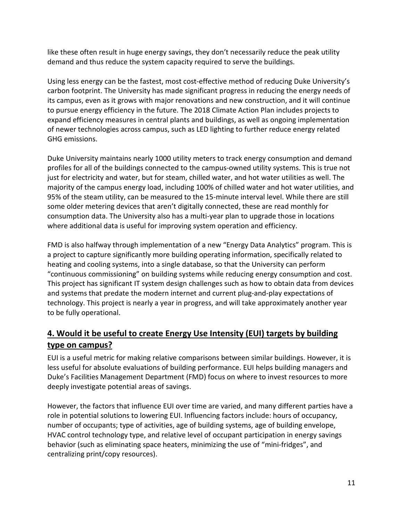like these often result in huge energy savings, they don't necessarily reduce the peak utility demand and thus reduce the system capacity required to serve the buildings.

Using less energy can be the fastest, most cost-effective method of reducing Duke University's carbon footprint. The University has made significant progress in reducing the energy needs of its campus, even as it grows with major renovations and new construction, and it will continue to pursue energy efficiency in the future. The 2018 Climate Action Plan includes projects to expand efficiency measures in central plants and buildings, as well as ongoing implementation of newer technologies across campus, such as LED lighting to further reduce energy related GHG emissions.

Duke University maintains nearly 1000 utility meters to track energy consumption and demand profiles for all of the buildings connected to the campus-owned utility systems. This is true not just for electricity and water, but for steam, chilled water, and hot water utilities as well. The majority of the campus energy load, including 100% of chilled water and hot water utilities, and 95% of the steam utility, can be measured to the 15-minute interval level. While there are still some older metering devices that aren't digitally connected, these are read monthly for consumption data. The University also has a multi-year plan to upgrade those in locations where additional data is useful for improving system operation and efficiency.

FMD is also halfway through implementation of a new "Energy Data Analytics" program. This is a project to capture significantly more building operating information, specifically related to heating and cooling systems, into a single database, so that the University can perform "continuous commissioning" on building systems while reducing energy consumption and cost. This project has significant IT system design challenges such as how to obtain data from devices and systems that predate the modern internet and current plug-and-play expectations of technology. This project is nearly a year in progress, and will take approximately another year to be fully operational.

# **4. Would it be useful to create Energy Use Intensity (EUI) targets by building type on campus?**

EUI is a useful metric for making relative comparisons between similar buildings. However, it is less useful for absolute evaluations of building performance. EUI helps building managers and Duke's Facilities Management Department (FMD) focus on where to invest resources to more deeply investigate potential areas of savings.

However, the factors that influence EUI over time are varied, and many different parties have a role in potential solutions to lowering EUI. Influencing factors include: hours of occupancy, number of occupants; type of activities, age of building systems, age of building envelope, HVAC control technology type, and relative level of occupant participation in energy savings behavior (such as eliminating space heaters, minimizing the use of "mini-fridges", and centralizing print/copy resources).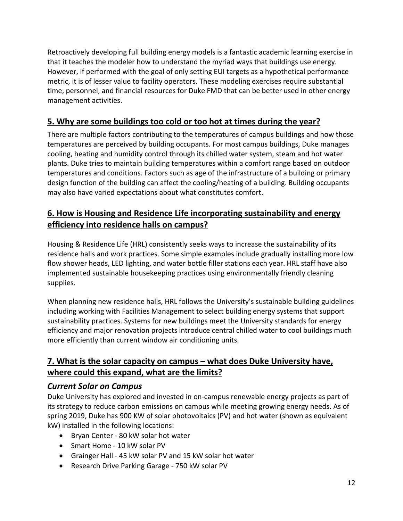Retroactively developing full building energy models is a fantastic academic learning exercise in that it teaches the modeler how to understand the myriad ways that buildings use energy. However, if performed with the goal of only setting EUI targets as a hypothetical performance metric, it is of lesser value to facility operators. These modeling exercises require substantial time, personnel, and financial resources for Duke FMD that can be better used in other energy management activities.

# **5. Why are some buildings too cold or too hot at times during the year?**

There are multiple factors contributing to the temperatures of campus buildings and how those temperatures are perceived by building occupants. For most campus buildings, Duke manages cooling, heating and humidity control through its chilled water system, steam and hot water plants. Duke tries to maintain building temperatures within a comfort range based on outdoor temperatures and conditions. Factors such as age of the infrastructure of a building or primary design function of the building can affect the cooling/heating of a building. Building occupants may also have varied expectations about what constitutes comfort.

### **6. How is Housing and Residence Life incorporating sustainability and energy efficiency into residence halls on campus?**

Housing & Residence Life (HRL) consistently seeks ways to increase the sustainability of its residence halls and work practices. Some simple examples include gradually installing more low flow shower heads, LED lighting, and water bottle filler stations each year. HRL staff have also implemented sustainable housekeeping practices using environmentally friendly cleaning supplies.

When planning new residence halls, HRL follows the University's sustainable building guidelines including working with Facilities Management to select building energy systems that support sustainability practices. Systems for new buildings meet the University standards for energy efficiency and major renovation projects introduce central chilled water to cool buildings much more efficiently than current window air conditioning units.

## **7. What is the solar capacity on campus – what does Duke University have, where could this expand, what are the limits?**

#### *Current Solar on Campus*

Duke University has explored and invested in on-campus renewable energy projects as part of its strategy to reduce carbon emissions on campus while meeting growing energy needs. As of spring 2019, Duke has 900 KW of solar photovoltaics (PV) and hot water (shown as equivalent kW) installed in the following locations:

- Bryan Center 80 kW solar hot water
- Smart Home 10 kW solar PV
- Grainger Hall 45 kW solar PV and 15 kW solar hot water
- Research Drive Parking Garage 750 kW solar PV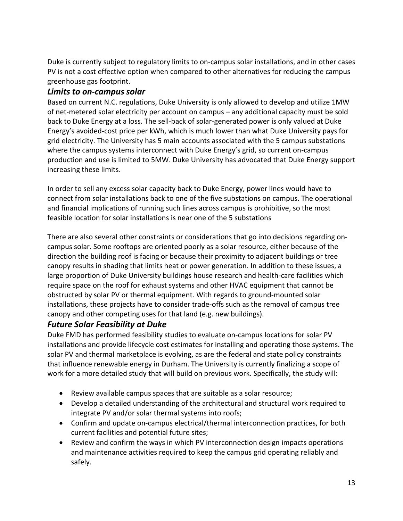Duke is currently subject to regulatory limits to on-campus solar installations, and in other cases PV is not a cost effective option when compared to other alternatives for reducing the campus greenhouse gas footprint.

#### *Limits to on-campus solar*

Based on current N.C. regulations, Duke University is only allowed to develop and utilize 1MW of net-metered solar electricity per account on campus – any additional capacity must be sold back to Duke Energy at a loss. The sell-back of solar-generated power is only valued at Duke Energy's avoided-cost price per kWh, which is much lower than what Duke University pays for grid electricity. The University has 5 main accounts associated with the 5 campus substations where the campus systems interconnect with Duke Energy's grid, so current on-campus production and use is limited to 5MW. Duke University has advocated that Duke Energy support increasing these limits.

In order to sell any excess solar capacity back to Duke Energy, power lines would have to connect from solar installations back to one of the five substations on campus. The operational and financial implications of running such lines across campus is prohibitive, so the most feasible location for solar installations is near one of the 5 substations

There are also several other constraints or considerations that go into decisions regarding oncampus solar. Some rooftops are oriented poorly as a solar resource, either because of the direction the building roof is facing or because their proximity to adjacent buildings or tree canopy results in shading that limits heat or power generation. In addition to these issues, a large proportion of Duke University buildings house research and health-care facilities which require space on the roof for exhaust systems and other HVAC equipment that cannot be obstructed by solar PV or thermal equipment. With regards to ground-mounted solar installations, these projects have to consider trade-offs such as the removal of campus tree canopy and other competing uses for that land (e.g. new buildings).

#### *Future Solar Feasibility at Duke*

Duke FMD has performed feasibility studies to evaluate on-campus locations for solar PV installations and provide lifecycle cost estimates for installing and operating those systems. The solar PV and thermal marketplace is evolving, as are the federal and state policy constraints that influence renewable energy in Durham. The University is currently finalizing a scope of work for a more detailed study that will build on previous work. Specifically, the study will:

- Review available campus spaces that are suitable as a solar resource;
- Develop a detailed understanding of the architectural and structural work required to integrate PV and/or solar thermal systems into roofs;
- Confirm and update on-campus electrical/thermal interconnection practices, for both current facilities and potential future sites;
- Review and confirm the ways in which PV interconnection design impacts operations and maintenance activities required to keep the campus grid operating reliably and safely.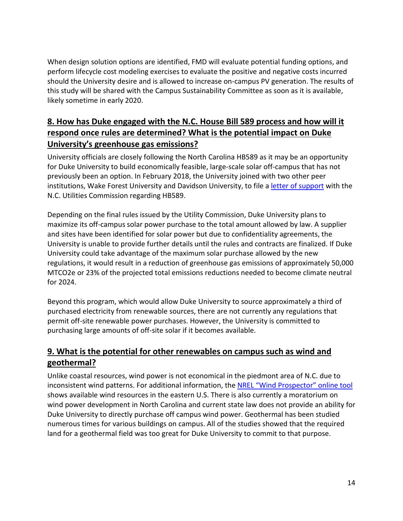When design solution options are identified, FMD will evaluate potential funding options, and perform lifecycle cost modeling exercises to evaluate the positive and negative costs incurred should the University desire and is allowed to increase on-campus PV generation. The results of this study will be shared with the Campus Sustainability Committee as soon as it is available, likely sometime in early 2020.

# **8. How has Duke engaged with the N.C. House Bill 589 process and how will it respond once rules are determined? What is the potential impact on Duke University's greenhouse gas emissions?**

University officials are closely following the North Carolina HB589 as it may be an opportunity for Duke University to build economically feasible, large-scale solar off-campus that has not previously been an option. In February 2018, the University joined with two other peer institutions, Wake Forest University and Davidson University, to file a *letter of support* with the N.C. Utilities Commission regarding HB589.

Depending on the final rules issued by the Utility Commission, Duke University plans to maximize its off-campus solar power purchase to the total amount allowed by law. A supplier and sites have been identified for solar power but due to confidentiality agreements, the University is unable to provide further details until the rules and contracts are finalized. If Duke University could take advantage of the maximum solar purchase allowed by the new regulations, it would result in a reduction of greenhouse gas emissions of approximately 50,000 MTCO2e or 23% of the projected total emissions reductions needed to become climate neutral for 2024.

Beyond this program, which would allow Duke University to source approximately a third of purchased electricity from renewable sources, there are not currently any regulations that permit off-site renewable power purchases. However, the University is committed to purchasing large amounts of off-site solar if it becomes available.

# **9. What is the potential for other renewables on campus such as wind and geothermal?**

Unlike coastal resources, wind power is not economical in the piedmont area of N.C. due to inconsistent wind patterns. For additional information, the [NREL "Wind Prospector" online tool](https://maps.nrel.gov/wind-prospector/) shows available wind resources in the eastern U.S. There is also currently a moratorium on wind power development in North Carolina and current state law does not provide an ability for Duke University to directly purchase off campus wind power. Geothermal has been studied numerous times for various buildings on campus. All of the studies showed that the required land for a geothermal field was too great for Duke University to commit to that purpose.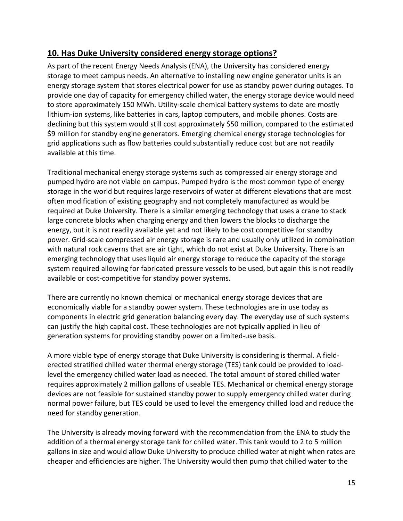### **10. Has Duke University considered energy storage options?**

As part of the recent Energy Needs Analysis (ENA), the University has considered energy storage to meet campus needs. An alternative to installing new engine generator units is an energy storage system that stores electrical power for use as standby power during outages. To provide one day of capacity for emergency chilled water, the energy storage device would need to store approximately 150 MWh. Utility-scale chemical battery systems to date are mostly lithium-ion systems, like batteries in cars, laptop computers, and mobile phones. Costs are declining but this system would still cost approximately \$50 million, compared to the estimated \$9 million for standby engine generators. Emerging chemical energy storage technologies for grid applications such as flow batteries could substantially reduce cost but are not readily available at this time.

Traditional mechanical energy storage systems such as compressed air energy storage and pumped hydro are not viable on campus. Pumped hydro is the most common type of energy storage in the world but requires large reservoirs of water at different elevations that are most often modification of existing geography and not completely manufactured as would be required at Duke University. There is a similar emerging technology that uses a crane to stack large concrete blocks when charging energy and then lowers the blocks to discharge the energy, but it is not readily available yet and not likely to be cost competitive for standby power. Grid-scale compressed air energy storage is rare and usually only utilized in combination with natural rock caverns that are air tight, which do not exist at Duke University. There is an emerging technology that uses liquid air energy storage to reduce the capacity of the storage system required allowing for fabricated pressure vessels to be used, but again this is not readily available or cost-competitive for standby power systems.

There are currently no known chemical or mechanical energy storage devices that are economically viable for a standby power system. These technologies are in use today as components in electric grid generation balancing every day. The everyday use of such systems can justify the high capital cost. These technologies are not typically applied in lieu of generation systems for providing standby power on a limited-use basis.

A more viable type of energy storage that Duke University is considering is thermal. A fielderected stratified chilled water thermal energy storage (TES) tank could be provided to loadlevel the emergency chilled water load as needed. The total amount of stored chilled water requires approximately 2 million gallons of useable TES. Mechanical or chemical energy storage devices are not feasible for sustained standby power to supply emergency chilled water during normal power failure, but TES could be used to level the emergency chilled load and reduce the need for standby generation.

The University is already moving forward with the recommendation from the ENA to study the addition of a thermal energy storage tank for chilled water. This tank would to 2 to 5 million gallons in size and would allow Duke University to produce chilled water at night when rates are cheaper and efficiencies are higher. The University would then pump that chilled water to the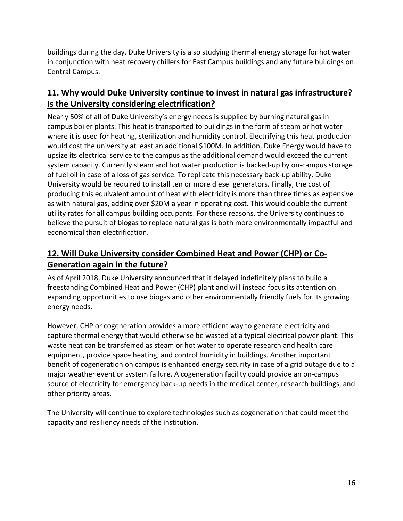buildings during the day. Duke University is also studying thermal energy storage for hot water in conjunction with heat recovery chillers for East Campus buildings and any future buildings on Central Campus.

# **11. Why would Duke University continue to invest in natural gas infrastructure? Is the University considering electrification?**

Nearly 50% of all of Duke University's energy needs is supplied by burning natural gas in campus boiler plants. This heat is transported to buildings in the form of steam or hot water where it is used for heating, sterilization and humidity control. Electrifying this heat production would cost the university at least an additional \$100M. In addition, Duke Energy would have to upsize its electrical service to the campus as the additional demand would exceed the current system capacity. Currently steam and hot water production is backed-up by on-campus storage of fuel oil in case of a loss of gas service. To replicate this necessary back-up ability, Duke University would be required to install ten or more diesel generators. Finally, the cost of producing this equivalent amount of heat with electricity is more than three times as expensive as with natural gas, adding over \$20M a year in operating cost. This would double the current utility rates for all campus building occupants. For these reasons, the University continues to believe the pursuit of biogas to replace natural gas is both more environmentally impactful and economical than electrification.

## **12. Will Duke University consider Combined Heat and Power (CHP) or Co-Generation again in the future?**

As of April 2018, Duke University announced that it delayed indefinitely plans to build a freestanding Combined Heat and Power (CHP) plant and will instead focus its attention on expanding opportunities to use biogas and other environmentally friendly fuels for its growing energy needs.

However, CHP or cogeneration provides a more efficient way to generate electricity and capture thermal energy that would otherwise be wasted at a typical electrical power plant. This waste heat can be transferred as steam or hot water to operate research and health care equipment, provide space heating, and control humidity in buildings. Another important benefit of cogeneration on campus is enhanced energy security in case of a grid outage due to a major weather event or system failure. A cogeneration facility could provide an on-campus source of electricity for emergency back-up needs in the medical center, research buildings, and other priority areas.

The University will continue to explore technologies such as cogeneration that could meet the capacity and resiliency needs of the institution.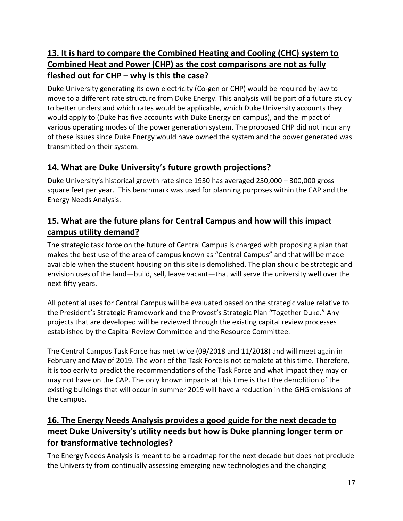# **13. It is hard to compare the Combined Heating and Cooling (CHC) system to Combined Heat and Power (CHP) as the cost comparisons are not as fully fleshed out for CHP – why is this the case?**

Duke University generating its own electricity (Co-gen or CHP) would be required by law to move to a different rate structure from Duke Energy. This analysis will be part of a future study to better understand which rates would be applicable, which Duke University accounts they would apply to (Duke has five accounts with Duke Energy on campus), and the impact of various operating modes of the power generation system. The proposed CHP did not incur any of these issues since Duke Energy would have owned the system and the power generated was transmitted on their system.

# **14. What are Duke University's future growth projections?**

Duke University's historical growth rate since 1930 has averaged 250,000 – 300,000 gross square feet per year. This benchmark was used for planning purposes within the CAP and the Energy Needs Analysis.

## **15. What are the future plans for Central Campus and how will this impact campus utility demand?**

The strategic task force on the future of Central Campus is charged with proposing a plan that makes the best use of the area of campus known as "Central Campus" and that will be made available when the student housing on this site is demolished. The plan should be strategic and envision uses of the land—build, sell, leave vacant—that will serve the university well over the next fifty years.

All potential uses for Central Campus will be evaluated based on the strategic value relative to the President's Strategic Framework and the Provost's Strategic Plan "Together Duke." Any projects that are developed will be reviewed through the existing capital review processes established by the Capital Review Committee and the Resource Committee.

The Central Campus Task Force has met twice (09/2018 and 11/2018) and will meet again in February and May of 2019. The work of the Task Force is not complete at this time. Therefore, it is too early to predict the recommendations of the Task Force and what impact they may or may not have on the CAP. The only known impacts at this time is that the demolition of the existing buildings that will occur in summer 2019 will have a reduction in the GHG emissions of the campus.

# **16. The Energy Needs Analysis provides a good guide for the next decade to meet Duke University's utility needs but how is Duke planning longer term or for transformative technologies?**

The Energy Needs Analysis is meant to be a roadmap for the next decade but does not preclude the University from continually assessing emerging new technologies and the changing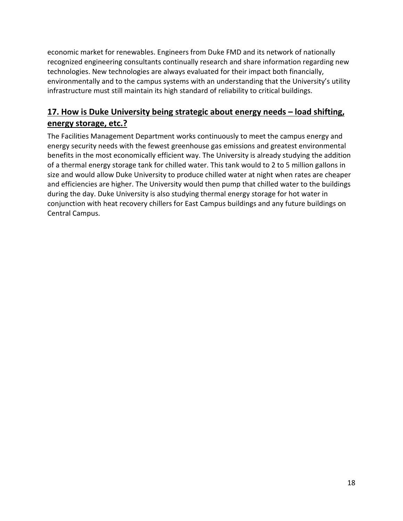economic market for renewables. Engineers from Duke FMD and its network of nationally recognized engineering consultants continually research and share information regarding new technologies. New technologies are always evaluated for their impact both financially, environmentally and to the campus systems with an understanding that the University's utility infrastructure must still maintain its high standard of reliability to critical buildings.

## **17. How is Duke University being strategic about energy needs – load shifting, energy storage, etc.?**

The Facilities Management Department works continuously to meet the campus energy and energy security needs with the fewest greenhouse gas emissions and greatest environmental benefits in the most economically efficient way. The University is already studying the addition of a thermal energy storage tank for chilled water. This tank would to 2 to 5 million gallons in size and would allow Duke University to produce chilled water at night when rates are cheaper and efficiencies are higher. The University would then pump that chilled water to the buildings during the day. Duke University is also studying thermal energy storage for hot water in conjunction with heat recovery chillers for East Campus buildings and any future buildings on Central Campus.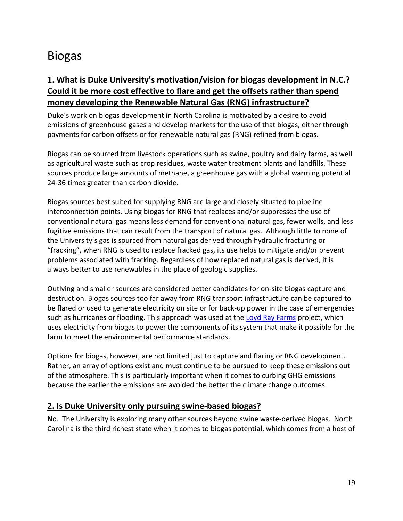# Biogas

## **1. What is Duke University's motivation/vision for biogas development in N.C.? Could it be more cost effective to flare and get the offsets rather than spend money developing the Renewable Natural Gas (RNG) infrastructure?**

Duke's work on biogas development in North Carolina is motivated by a desire to avoid emissions of greenhouse gases and develop markets for the use of that biogas, either through payments for carbon offsets or for renewable natural gas (RNG) refined from biogas.

Biogas can be sourced from livestock operations such as swine, poultry and dairy farms, as well as agricultural waste such as crop residues, waste water treatment plants and landfills. These sources produce large amounts of methane, a greenhouse gas with a global warming potential 24-36 times greater than carbon dioxide.

Biogas sources best suited for supplying RNG are large and closely situated to pipeline interconnection points. Using biogas for RNG that replaces and/or suppresses the use of conventional natural gas means less demand for conventional natural gas, fewer wells, and less fugitive emissions that can result from the transport of natural gas. Although little to none of the University's gas is sourced from natural gas derived through hydraulic fracturing or "fracking", when RNG is used to replace fracked gas, its use helps to mitigate and/or prevent problems associated with fracking. Regardless of how replaced natural gas is derived, it is always better to use renewables in the place of geologic supplies.

Outlying and smaller sources are considered better candidates for on-site biogas capture and destruction. Biogas sources too far away from RNG transport infrastructure can be captured to be flared or used to generate electricity on site or for back-up power in the case of emergencies such as hurricanes or flooding. This approach was used at the [Loyd Ray Farms](https://sustainability.duke.edu/offsets/projects/lrf) project, which uses electricity from biogas to power the components of its system that make it possible for the farm to meet the environmental performance standards.

Options for biogas, however, are not limited just to capture and flaring or RNG development. Rather, an array of options exist and must continue to be pursued to keep these emissions out of the atmosphere. This is particularly important when it comes to curbing GHG emissions because the earlier the emissions are avoided the better the climate change outcomes.

#### **2. Is Duke University only pursuing swine-based biogas?**

No. The University is exploring many other sources beyond swine waste-derived biogas. North Carolina is the third richest state when it comes to biogas potential, which comes from a host of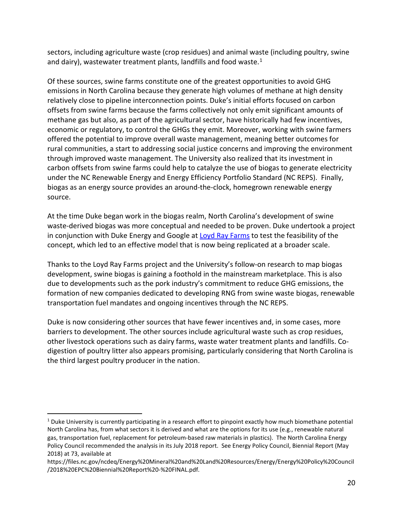sectors, including agriculture waste (crop residues) and animal waste (including poultry, swine and dairy), wastewater treatment plants, landfills and food waste. $1$ 

Of these sources, swine farms constitute one of the greatest opportunities to avoid GHG emissions in North Carolina because they generate high volumes of methane at high density relatively close to pipeline interconnection points. Duke's initial efforts focused on carbon offsets from swine farms because the farms collectively not only emit significant amounts of methane gas but also, as part of the agricultural sector, have historically had few incentives, economic or regulatory, to control the GHGs they emit. Moreover, working with swine farmers offered the potential to improve overall waste management, meaning better outcomes for rural communities, a start to addressing social justice concerns and improving the environment through improved waste management. The University also realized that its investment in carbon offsets from swine farms could help to catalyze the use of biogas to generate electricity under the NC Renewable Energy and Energy Efficiency Portfolio Standard (NC REPS). Finally, biogas as an energy source provides an around-the-clock, homegrown renewable energy source.

At the time Duke began work in the biogas realm, North Carolina's development of swine waste-derived biogas was more conceptual and needed to be proven. Duke undertook a project in conjunction with Duke Energy and Google at [Loyd Ray Farms](https://sustainability.duke.edu/offsets/projects/lrf) to test the feasibility of the concept, which led to an effective model that is now being replicated at a broader scale.

Thanks to the Loyd Ray Farms project and the University's follow-on research to map biogas development, swine biogas is gaining a foothold in the mainstream marketplace. This is also due to developments such as the pork industry's commitment to reduce GHG emissions, the formation of new companies dedicated to developing RNG from swine waste biogas, renewable transportation fuel mandates and ongoing incentives through the NC REPS.

Duke is now considering other sources that have fewer incentives and, in some cases, more barriers to development. The other sources include agricultural waste such as crop residues, other livestock operations such as dairy farms, waste water treatment plants and landfills. Codigestion of poultry litter also appears promising, particularly considering that North Carolina is the third largest poultry producer in the nation.

<span id="page-20-0"></span> $1$  Duke University is currently participating in a research effort to pinpoint exactly how much biomethane potential North Carolina has, from what sectors it is derived and what are the options for its use (e.g., renewable natural gas, transportation fuel, replacement for petroleum-based raw materials in plastics). The North Carolina Energy Policy Council recommended the analysis in its July 2018 report. See Energy Policy Council, Biennial Report (May 2018) at 73, available at

https://files.nc.gov/ncdeq/Energy%20Mineral%20and%20Land%20Resources/Energy/Energy%20Policy%20Council /2018%20EPC%20Biennial%20Report%20-%20FINAL.pdf.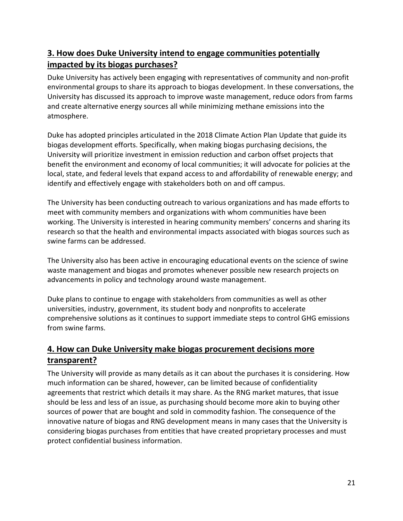# **3. How does Duke University intend to engage communities potentially impacted by its biogas purchases?**

Duke University has actively been engaging with representatives of community and non-profit environmental groups to share its approach to biogas development. In these conversations, the University has discussed its approach to improve waste management, reduce odors from farms and create alternative energy sources all while minimizing methane emissions into the atmosphere.

Duke has adopted principles articulated in the 2018 Climate Action Plan Update that guide its biogas development efforts. Specifically, when making biogas purchasing decisions, the University will prioritize investment in emission reduction and carbon offset projects that benefit the environment and economy of local communities; it will advocate for policies at the local, state, and federal levels that expand access to and affordability of renewable energy; and identify and effectively engage with stakeholders both on and off campus.

The University has been conducting outreach to various organizations and has made efforts to meet with community members and organizations with whom communities have been working. The University is interested in hearing community members' concerns and sharing its research so that the health and environmental impacts associated with biogas sources such as swine farms can be addressed.

The University also has been active in encouraging educational events on the science of swine waste management and biogas and promotes whenever possible new research projects on advancements in policy and technology around waste management.

Duke plans to continue to engage with stakeholders from communities as well as other universities, industry, government, its student body and nonprofits to accelerate comprehensive solutions as it continues to support immediate steps to control GHG emissions from swine farms.

# **4. How can Duke University make biogas procurement decisions more transparent?**

The University will provide as many details as it can about the purchases it is considering. How much information can be shared, however, can be limited because of confidentiality agreements that restrict which details it may share. As the RNG market matures, that issue should be less and less of an issue, as purchasing should become more akin to buying other sources of power that are bought and sold in commodity fashion. The consequence of the innovative nature of biogas and RNG development means in many cases that the University is considering biogas purchases from entities that have created proprietary processes and must protect confidential business information.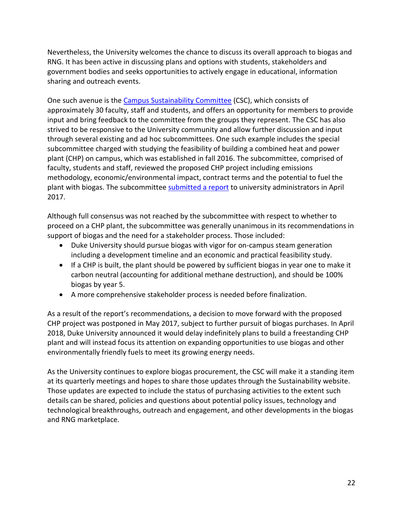Nevertheless, the University welcomes the chance to discuss its overall approach to biogas and RNG. It has been active in discussing plans and options with students, stakeholders and government bodies and seeks opportunities to actively engage in educational, information sharing and outreach events.

One such avenue is the [Campus Sustainability Committee](https://sustainability.duke.edu/about/csc) (CSC), which consists of approximately 30 faculty, staff and students, and offers an opportunity for members to provide input and bring feedback to the committee from the groups they represent. The CSC has also strived to be responsive to the University community and allow further discussion and input through several existing and ad hoc subcommittees. One such example includes the special subcommittee charged with studying the feasibility of building a combined heat and power plant (CHP) on campus, which was established in fall 2016. The subcommittee, comprised of faculty, students and staff, reviewed the proposed CHP project including emissions methodology, economic/environmental impact, contract terms and the potential to fuel the plant with biogas. The subcommitte[e submitted a report](https://sustainability.duke.edu/sites/default/files/chpsubcommitteereport.pdf) to university administrators in April 2017.

Although full consensus was not reached by the subcommittee with respect to whether to proceed on a CHP plant, the subcommittee was generally unanimous in its recommendations in support of biogas and the need for a stakeholder process. Those included:

- Duke University should pursue biogas with vigor for on-campus steam generation including a development timeline and an economic and practical feasibility study.
- If a CHP is built, the plant should be powered by sufficient biogas in year one to make it carbon neutral (accounting for additional methane destruction), and should be 100% biogas by year 5.
- A more comprehensive stakeholder process is needed before finalization.

As a result of the report's recommendations, a decision to move forward with the proposed CHP project was postponed in May 2017, subject to further pursuit of biogas purchases. In April 2018, Duke University announced it would delay indefinitely plans to build a freestanding CHP plant and will instead focus its attention on expanding opportunities to use biogas and other environmentally friendly fuels to meet its growing energy needs.

As the University continues to explore biogas procurement, the CSC will make it a standing item at its quarterly meetings and hopes to share those updates through the Sustainability website. Those updates are expected to include the status of purchasing activities to the extent such details can be shared, policies and questions about potential policy issues, technology and technological breakthroughs, outreach and engagement, and other developments in the biogas and RNG marketplace.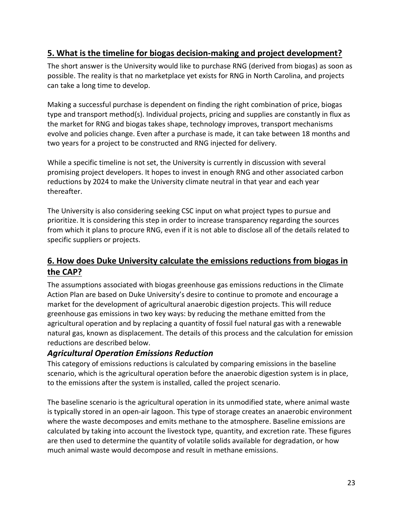## **5. What is the timeline for biogas decision-making and project development?**

The short answer is the University would like to purchase RNG (derived from biogas) as soon as possible. The reality is that no marketplace yet exists for RNG in North Carolina, and projects can take a long time to develop.

Making a successful purchase is dependent on finding the right combination of price, biogas type and transport method(s). Individual projects, pricing and supplies are constantly in flux as the market for RNG and biogas takes shape, technology improves, transport mechanisms evolve and policies change. Even after a purchase is made, it can take between 18 months and two years for a project to be constructed and RNG injected for delivery.

While a specific timeline is not set, the University is currently in discussion with several promising project developers. It hopes to invest in enough RNG and other associated carbon reductions by 2024 to make the University climate neutral in that year and each year thereafter.

The University is also considering seeking CSC input on what project types to pursue and prioritize. It is considering this step in order to increase transparency regarding the sources from which it plans to procure RNG, even if it is not able to disclose all of the details related to specific suppliers or projects.

## **6. How does Duke University calculate the emissions reductions from biogas in the CAP?**

The assumptions associated with biogas greenhouse gas emissions reductions in the Climate Action Plan are based on Duke University's desire to continue to promote and encourage a market for the development of agricultural anaerobic digestion projects. This will reduce greenhouse gas emissions in two key ways: by reducing the methane emitted from the agricultural operation and by replacing a quantity of fossil fuel natural gas with a renewable natural gas, known as displacement. The details of this process and the calculation for emission reductions are described below.

#### *Agricultural Operation Emissions Reduction*

This category of emissions reductions is calculated by comparing emissions in the baseline scenario, which is the agricultural operation before the anaerobic digestion system is in place, to the emissions after the system is installed, called the project scenario.

The baseline scenario is the agricultural operation in its unmodified state, where animal waste is typically stored in an open-air lagoon. This type of storage creates an anaerobic environment where the waste decomposes and emits methane to the atmosphere. Baseline emissions are calculated by taking into account the livestock type, quantity, and excretion rate. These figures are then used to determine the quantity of volatile solids available for degradation, or how much animal waste would decompose and result in methane emissions.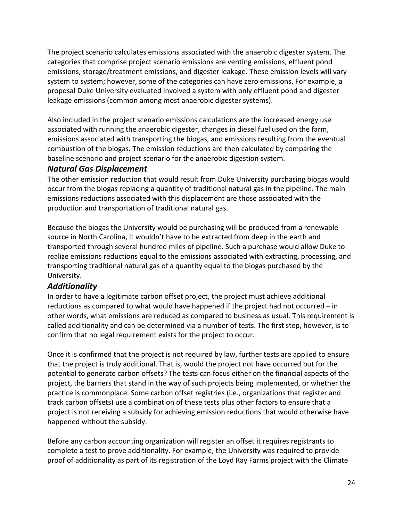The project scenario calculates emissions associated with the anaerobic digester system. The categories that comprise project scenario emissions are venting emissions, effluent pond emissions, storage/treatment emissions, and digester leakage. These emission levels will vary system to system; however, some of the categories can have zero emissions. For example, a proposal Duke University evaluated involved a system with only effluent pond and digester leakage emissions (common among most anaerobic digester systems).

Also included in the project scenario emissions calculations are the increased energy use associated with running the anaerobic digester, changes in diesel fuel used on the farm, emissions associated with transporting the biogas, and emissions resulting from the eventual combustion of the biogas. The emission reductions are then calculated by comparing the baseline scenario and project scenario for the anaerobic digestion system.

#### *Natural Gas Displacement*

The other emission reduction that would result from Duke University purchasing biogas would occur from the biogas replacing a quantity of traditional natural gas in the pipeline. The main emissions reductions associated with this displacement are those associated with the production and transportation of traditional natural gas.

Because the biogas the University would be purchasing will be produced from a renewable source in North Carolina, it wouldn't have to be extracted from deep in the earth and transported through several hundred miles of pipeline. Such a purchase would allow Duke to realize emissions reductions equal to the emissions associated with extracting, processing, and transporting traditional natural gas of a quantity equal to the biogas purchased by the University.

#### *Additionality*

In order to have a legitimate carbon offset project, the project must achieve additional reductions as compared to what would have happened if the project had not occurred – in other words, what emissions are reduced as compared to business as usual. This requirement is called additionality and can be determined via a number of tests. The first step, however, is to confirm that no legal requirement exists for the project to occur.

Once it is confirmed that the project is not required by law, further tests are applied to ensure that the project is truly additional. That is, would the project not have occurred but for the potential to generate carbon offsets? The tests can focus either on the financial aspects of the project, the barriers that stand in the way of such projects being implemented, or whether the practice is commonplace. Some carbon offset registries (i.e., organizations that register and track carbon offsets) use a combination of these tests plus other factors to ensure that a project is not receiving a subsidy for achieving emission reductions that would otherwise have happened without the subsidy.

Before any carbon accounting organization will register an offset it requires registrants to complete a test to prove additionality. For example, the University was required to provide proof of additionality as part of its registration of the Loyd Ray Farms project with the Climate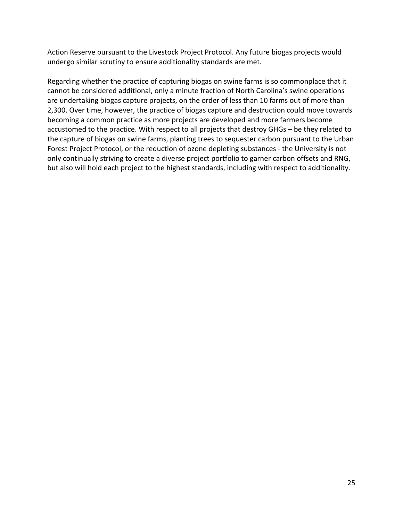Action Reserve pursuant to the Livestock Project Protocol. Any future biogas projects would undergo similar scrutiny to ensure additionality standards are met.

Regarding whether the practice of capturing biogas on swine farms is so commonplace that it cannot be considered additional, only a minute fraction of North Carolina's swine operations are undertaking biogas capture projects, on the order of less than 10 farms out of more than 2,300. Over time, however, the practice of biogas capture and destruction could move towards becoming a common practice as more projects are developed and more farmers become accustomed to the practice. With respect to all projects that destroy GHGs – be they related to the capture of biogas on swine farms, planting trees to sequester carbon pursuant to the Urban Forest Project Protocol, or the reduction of ozone depleting substances - the University is not only continually striving to create a diverse project portfolio to garner carbon offsets and RNG, but also will hold each project to the highest standards, including with respect to additionality.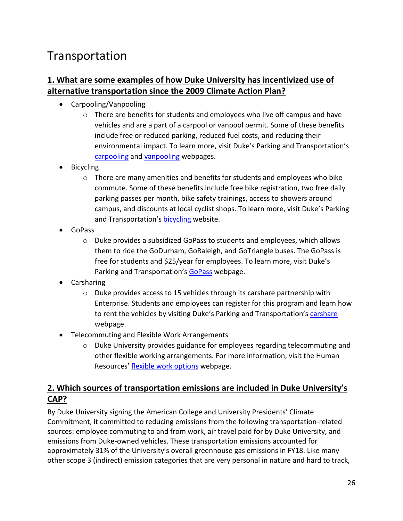# Transportation

### **1. What are some examples of how Duke University has incentivized use of alternative transportation since the 2009 Climate Action Plan?**

- Carpooling/Vanpooling
	- $\circ$  There are benefits for students and employees who live off campus and have vehicles and are a part of a carpool or vanpool permit. Some of these benefits include free or reduced parking, reduced fuel costs, and reducing their environmental impact. To learn more, visit Duke's Parking and Transportation's [carpooling](https://parking.duke.edu/alternative/carpool) and [vanpooling](https://parking.duke.edu/alternative/vanpool) webpages.
- **Bicycling** 
	- $\circ$  There are many amenities and benefits for students and employees who bike commute. Some of these benefits include free bike registration, two free daily parking passes per month, bike safety trainings, access to showers around campus, and discounts at local cyclist shops. To learn more, visit Duke's Parking and Transportation's **bicycling** website.
- GoPass
	- $\circ$  Duke provides a subsidized GoPass to students and employees, which allows them to ride the GoDurham, GoRaleigh, and GoTriangle buses. The GoPass is free for students and \$25/year for employees. To learn more, visit Duke's Parking and Transportation's [GoPass](https://parking.duke.edu/buses/gopass) webpage.
- Carsharing
	- $\circ$  Duke provides access to 15 vehicles through its carshare partnership with Enterprise. Students and employees can register for this program and learn how to rent the vehicles by visiting Duke's Parking and Transportation's [carshare](https://parking.duke.edu/alternative/enterprise-carshare) webpage.
- Telecommuting and Flexible Work Arrangements
	- $\circ$  Duke University provides guidance for employees regarding telecommuting and other flexible working arrangements. For more information, visit the Human Resources' [flexible work options](https://hr.duke.edu/benefits/family-friendly/flexible-work-options) webpage.

## **2. Which sources of transportation emissions are included in Duke University's CAP?**

By Duke University signing the American College and University Presidents' Climate Commitment, it committed to reducing emissions from the following transportation-related sources: employee commuting to and from work, air travel paid for by Duke University, and emissions from Duke-owned vehicles. These transportation emissions accounted for approximately 31% of the University's overall greenhouse gas emissions in FY18. Like many other scope 3 (indirect) emission categories that are very personal in nature and hard to track,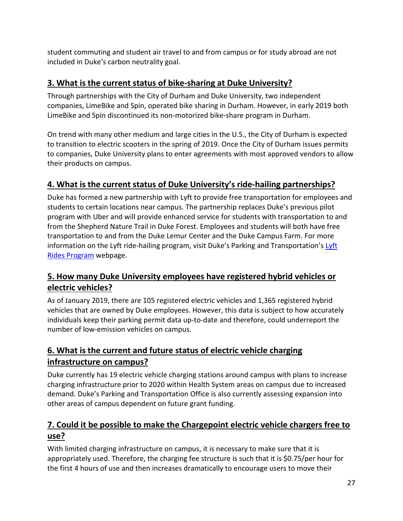student commuting and student air travel to and from campus or for study abroad are not included in Duke's carbon neutrality goal.

# **3. What is the current status of bike-sharing at Duke University?**

Through partnerships with the City of Durham and Duke University, two independent companies, LimeBike and Spin, operated bike sharing in Durham. However, in early 2019 both LimeBike and Spin discontinued its non-motorized bike-share program in Durham.

On trend with many other medium and large cities in the U.S., the City of Durham is expected to transition to electric scooters in the spring of 2019. Once the City of Durham issues permits to companies, Duke University plans to enter agreements with most approved vendors to allow their products on campus.

# **4. What is the current status of Duke University's ride-hailing partnerships?**

Duke has formed a new partnership with Lyft to provide free transportation for employees and students to certain locations near campus. The partnership replaces Duke's previous pilot program with Uber and will provide enhanced service for students with transportation to and from the Shepherd Nature Trail in Duke Forest. Employees and students will both have free transportation to and from the Duke Lemur Center and the Duke Campus Farm. For more information on the Lyft ride-hailing program, visit Duke's Parking and Transportation's Lyft [Rides Program](https://parking.duke.edu/buses/lyft) webpage.

# **5. How many Duke University employees have registered hybrid vehicles or electric vehicles?**

As of January 2019, there are 105 registered electric vehicles and 1,365 registered hybrid vehicles that are owned by Duke employees. However, this data is subject to how accurately individuals keep their parking permit data up-to-date and therefore, could underreport the number of low-emission vehicles on campus.

# **6. What is the current and future status of electric vehicle charging infrastructure on campus?**

Duke currently has 19 electric vehicle charging stations around campus with plans to increase charging infrastructure prior to 2020 within Health System areas on campus due to increased demand. Duke's Parking and Transportation Office is also currently assessing expansion into other areas of campus dependent on future grant funding.

# **7. Could it be possible to make the Chargepoint electric vehicle chargers free to use?**

With limited charging infrastructure on campus, it is necessary to make sure that it is appropriately used. Therefore, the charging fee structure is such that it is \$0.75/per hour for the first 4 hours of use and then increases dramatically to encourage users to move their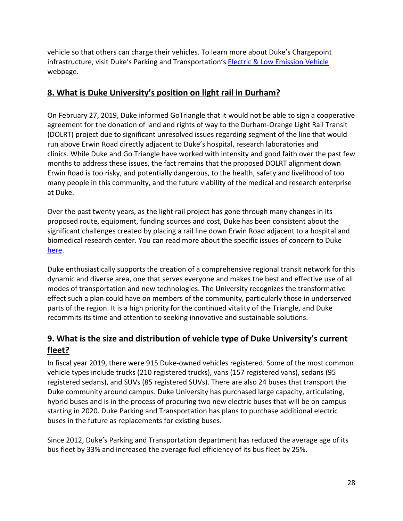vehicle so that others can charge their vehicles. To learn more about Duke's Chargepoint infrastructure, visit Duke's Parking and Transportation's [Electric & Low Emission Vehicle](https://parking.duke.edu/parking/electric-low-emission-vehicles) webpage.

#### **8. What is Duke University's position on light rail in Durham?**

On February 27, 2019, Duke informed GoTriangle that it would not be able to sign a cooperative agreement for the donation of land and rights of way to the Durham-Orange Light Rail Transit (DOLRT) project due to significant unresolved issues regarding segment of the line that would run above Erwin Road directly adjacent to Duke's hospital, research laboratories and clinics. While Duke and Go Triangle have worked with intensity and good faith over the past few months to address these issues, the fact remains that the proposed DOLRT alignment down Erwin Road is too risky, and potentially dangerous, to the health, safety and livelihood of too many people in this community, and the future viability of the medical and research enterprise at Duke.

Over the past twenty years, as the light rail project has gone through many changes in its proposed route, equipment, funding sources and cost, Duke has been consistent about the significant challenges created by placing a rail line down Erwin Road adjacent to a hospital and biomedical research center. You can read more about the specific issues of concern to Duke [here.](https://today.duke.edu/2019/02/faq-lightrail)

Duke enthusiastically supports the creation of a comprehensive regional transit network for this dynamic and diverse area, one that serves everyone and makes the best and effective use of all modes of transportation and new technologies. The University recognizes the transformative effect such a plan could have on members of the community, particularly those in underserved parts of the region. It is a high priority for the continued vitality of the Triangle, and Duke recommits its time and attention to seeking innovative and sustainable solutions.

# **9. What is the size and distribution of vehicle type of Duke University's current fleet?**

In fiscal year 2019, there were 915 Duke-owned vehicles registered. Some of the most common vehicle types include trucks (210 registered trucks), vans (157 registered vans), sedans (95 registered sedans), and SUVs (85 registered SUVs). There are also 24 buses that transport the Duke community around campus. Duke University has purchased large capacity, articulating, hybrid buses and is in the process of procuring two new electric buses that will be on campus starting in 2020. Duke Parking and Transportation has plans to purchase additional electric buses in the future as replacements for existing buses.

Since 2012, Duke's Parking and Transportation department has reduced the average age of its bus fleet by 33% and increased the average fuel efficiency of its bus fleet by 25%.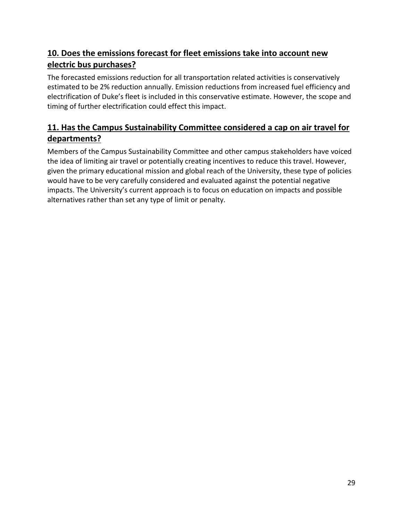# **10. Does the emissions forecast for fleet emissions take into account new electric bus purchases?**

The forecasted emissions reduction for all transportation related activities is conservatively estimated to be 2% reduction annually. Emission reductions from increased fuel efficiency and electrification of Duke's fleet is included in this conservative estimate. However, the scope and timing of further electrification could effect this impact.

# **11. Has the Campus Sustainability Committee considered a cap on air travel for departments?**

Members of the Campus Sustainability Committee and other campus stakeholders have voiced the idea of limiting air travel or potentially creating incentives to reduce this travel. However, given the primary educational mission and global reach of the University, these type of policies would have to be very carefully considered and evaluated against the potential negative impacts. The University's current approach is to focus on education on impacts and possible alternatives rather than set any type of limit or penalty.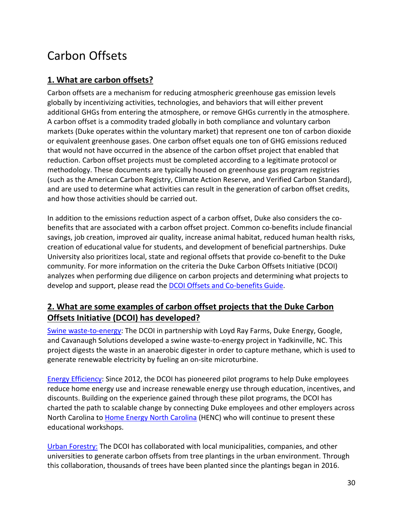# Carbon Offsets

## **1. What are carbon offsets?**

Carbon offsets are a mechanism for reducing atmospheric greenhouse gas emission levels globally by incentivizing activities, technologies, and behaviors that will either prevent additional GHGs from entering the atmosphere, or remove GHGs currently in the atmosphere. A carbon offset is a commodity traded globally in both compliance and voluntary carbon markets (Duke operates within the voluntary market) that represent one ton of carbon dioxide or equivalent greenhouse gases. One carbon offset equals one ton of GHG emissions reduced that would not have occurred in the absence of the carbon offset project that enabled that reduction. Carbon offset projects must be completed according to a legitimate protocol or methodology. These documents are typically housed on greenhouse gas program registries (such as the American Carbon Registry, Climate Action Reserve, and Verified Carbon Standard), and are used to determine what activities can result in the generation of carbon offset credits, and how those activities should be carried out.

In addition to the emissions reduction aspect of a carbon offset, Duke also considers the cobenefits that are associated with a carbon offset project. Common co-benefits include financial savings, job creation, improved air quality, increase animal habitat, reduced human health risks, creation of educational value for students, and development of beneficial partnerships. Duke University also prioritizes local, state and regional offsets that provide co-benefit to the Duke community. For more information on the criteria the Duke Carbon Offsets Initiative (DCOI) analyzes when performing due diligence on carbon projects and determining what projects to develop and support, please read the **DCOI Offsets and Co-benefits Guide**.

# **2. What are some examples of carbon offset projects that the Duke Carbon Offsets Initiative (DCOI) has developed?**

[Swine waste-to-energy:](https://sustainability.duke.edu/offsets/projects/lrf) The DCOI in partnership with Loyd Ray Farms, Duke Energy, Google, and Cavanaugh Solutions developed a swine waste-to-energy project in Yadkinville, NC. This project digests the waste in an anaerobic digester in order to capture methane, which is used to generate renewable electricity by fueling an on-site microturbine.

[Energy Efficiency:](https://sustainability.duke.edu/offsets/projects/residential) Since 2012, the DCOI has pioneered pilot programs to help Duke employees reduce home energy use and increase renewable energy use through education, incentives, and discounts. Building on the experience gained through these pilot programs, the DCOI has charted the path to scalable change by connecting Duke employees and other employers across North Carolina to [Home Energy North Carolina](http://homeenergync.org/) (HENC) who will continue to present these educational workshops.

[Urban Forestry:](https://sustainability.duke.edu/offsets/projects/forestry) The DCOI has collaborated with local municipalities, companies, and other universities to generate carbon offsets from tree plantings in the urban environment. Through this collaboration, thousands of trees have been planted since the plantings began in 2016.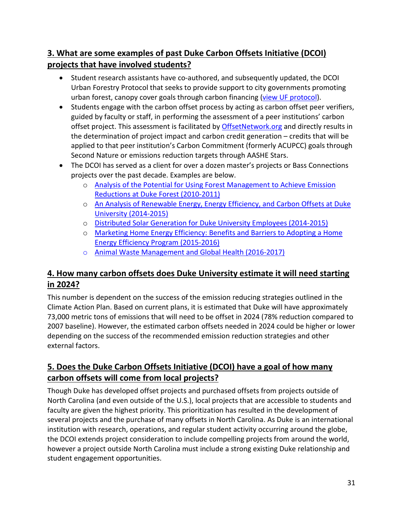# **3. What are some examples of past Duke Carbon Offsets Initiative (DCOI) projects that have involved students?**

- Student research assistants have co-authored, and subsequently updated, the DCOI Urban Forestry Protocol that seeks to provide support to city governments promoting urban forest, canopy cover goals through carbon financing [\(view UF protocol\)](https://sustainability.duke.edu/sites/default/files/UrbanForestryProtocol_v2.2.pdf).
- Students engage with the carbon offset process by acting as carbon offset peer verifiers, guided by faculty or staff, in performing the assessment of a peer institutions' carbon offset project. This assessment is facilitated by [OffsetNetwork.org](https://offsetnetwork.org/peer-verification/) and directly results in the determination of project impact and carbon credit generation – credits that will be applied to that peer institution's Carbon Commitment (formerly ACUPCC) goals through Second Nature or emissions reduction targets through AASHE Stars.
- The DCOI has served as a client for over a dozen master's projects or Bass Connections projects over the past decade. Examples are below.
	- o [Analysis of the Potential for Using Forest Management to Achieve Emission](https://dukespace.lib.duke.edu/dspace/handle/10161/4949)  [Reductions at Duke Forest \(2010-2011\)](https://dukespace.lib.duke.edu/dspace/handle/10161/4949)
	- o An Analysis of Renewable Energy, Energy Efficiency, and Carbon Offsets at Duke [University \(2014-2015\)](https://dukespace.lib.duke.edu/dspace/handle/10161/9655)
	- o Distributed Solar Generation [for Duke University Employees \(2014-2015\)](https://bassconnections.duke.edu/project-teams/distributed-solar-generation-duke-university-employees-2014-2015)
	- o [Marketing Home Energy Efficiency: Benefits and Barriers to Adopting a Home](https://dukespace.lib.duke.edu/dspace/handle/10161/11928)  [Energy Efficiency Program \(2015-2016\)](https://dukespace.lib.duke.edu/dspace/handle/10161/11928)
	- o [Animal Waste Management and Global Health \(2016-2017\)](https://bassconnections.duke.edu/project-teams/animal-waste-management-and-global-health-2016-2017)

# **4. How many carbon offsets does Duke University estimate it will need starting in 2024?**

This number is dependent on the success of the emission reducing strategies outlined in the Climate Action Plan. Based on current plans, it is estimated that Duke will have approximately 73,000 metric tons of emissions that will need to be offset in 2024 (78% reduction compared to 2007 baseline). However, the estimated carbon offsets needed in 2024 could be higher or lower depending on the success of the recommended emission reduction strategies and other external factors.

# **5. Does the Duke Carbon Offsets Initiative (DCOI) have a goal of how many carbon offsets will come from local projects?**

Though Duke has developed offset projects and purchased offsets from projects outside of North Carolina (and even outside of the U.S.), local projects that are accessible to students and faculty are given the highest priority. This prioritization has resulted in the development of several projects and the purchase of many offsets in North Carolina. As Duke is an international institution with research, operations, and regular student activity occurring around the globe, the DCOI extends project consideration to include compelling projects from around the world, however a project outside North Carolina must include a strong existing Duke relationship and student engagement opportunities.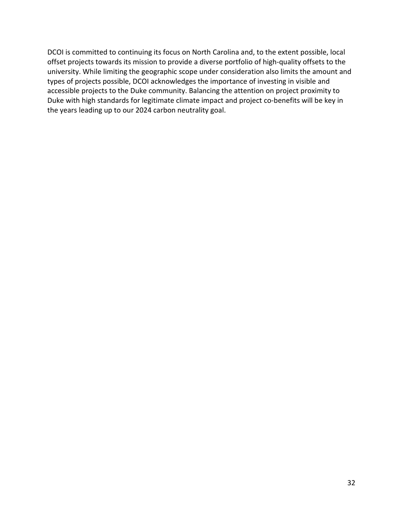DCOI is committed to continuing its focus on North Carolina and, to the extent possible, local offset projects towards its mission to provide a diverse portfolio of high-quality offsets to the university. While limiting the geographic scope under consideration also limits the amount and types of projects possible, DCOI acknowledges the importance of investing in visible and accessible projects to the Duke community. Balancing the attention on project proximity to Duke with high standards for legitimate climate impact and project co-benefits will be key in the years leading up to our 2024 carbon neutrality goal.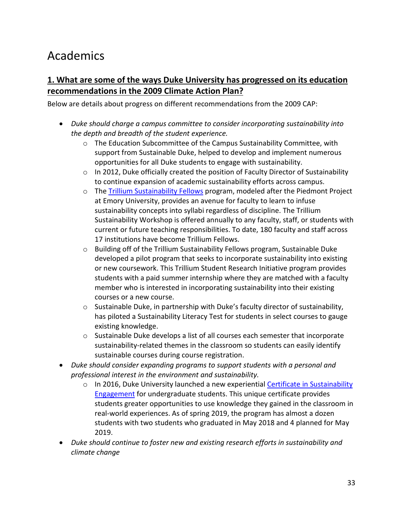# Academics

## **1. What are some of the ways Duke University has progressed on its education recommendations in the 2009 Climate Action Plan?**

Below are details about progress on different recommendations from the 2009 CAP:

- *Duke should charge a campus committee to consider incorporating sustainability into the depth and breadth of the student experience.*
	- o The Education Subcommittee of the Campus Sustainability Committee, with support from Sustainable Duke, helped to develop and implement numerous opportunities for all Duke students to engage with sustainability.
	- $\circ$  In 2012, Duke officially created the position of Faculty Director of Sustainability to continue expansion of academic sustainability efforts across campus.
	- o The [Trillium Sustainability Fellows](https://sites.duke.edu/trillium/) program, modeled after the Piedmont Project at Emory University, provides an avenue for faculty to learn to infuse sustainability concepts into syllabi regardless of discipline. The Trillium Sustainability Workshop is offered annually to any faculty, staff, or students with current or future teaching responsibilities. To date, 180 faculty and staff across 17 institutions have become Trillium Fellows.
	- o Building off of the Trillium Sustainability Fellows program, Sustainable Duke developed a pilot program that seeks to incorporate sustainability into existing or new coursework. This Trillium Student Research Initiative program provides students with a paid summer internship where they are matched with a faculty member who is interested in incorporating sustainability into their existing courses or a new course.
	- $\circ$  Sustainable Duke, in partnership with Duke's faculty director of sustainability, has piloted a Sustainability Literacy Test for students in select courses to gauge existing knowledge.
	- o Sustainable Duke develops a list of all courses each semester that incorporate sustainability-related themes in the classroom so students can easily identify sustainable courses during course registration.
- *Duke should consider expanding programs to support students with a personal and professional interest in the environment and sustainability.* 
	- o In 2016, Duke University launched a new experiential Certificate in Sustainability [Engagement](https://sustainability.duke.edu/academics/certificate) for undergraduate students. This unique certificate provides students greater opportunities to use knowledge they gained in the classroom in real-world experiences. As of spring 2019, the program has almost a dozen students with two students who graduated in May 2018 and 4 planned for May 2019.
- *Duke should continue to foster new and existing research efforts in sustainability and climate change*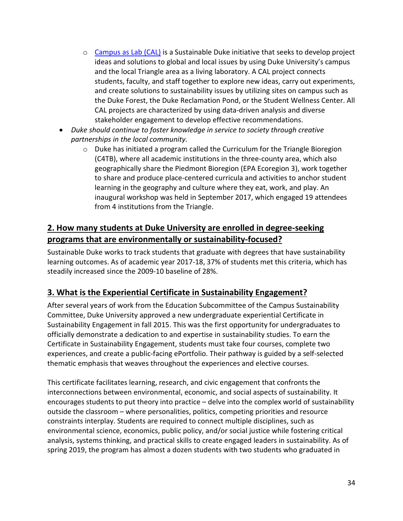- o [Campus as Lab \(CAL\)](https://sustainability.duke.edu/academics/campus-lab) is a Sustainable Duke initiative that seeks to develop project ideas and solutions to global and local issues by using Duke University's campus and the local Triangle area as a living laboratory. A CAL project connects students, faculty, and staff together to explore new ideas, carry out experiments, and create solutions to sustainability issues by utilizing sites on campus such as the Duke Forest, the Duke Reclamation Pond, or the Student Wellness Center. All CAL projects are characterized by using data-driven analysis and diverse stakeholder engagement to develop effective recommendations.
- *Duke should continue to foster knowledge in service to society through creative partnerships in the local community.*
	- $\circ$  Duke has initiated a program called the Curriculum for the Triangle Bioregion (C4TB), where all academic institutions in the three-county area, which also geographically share the Piedmont Bioregion (EPA Ecoregion 3), work together to share and produce place-centered curricula and activities to anchor student learning in the geography and culture where they eat, work, and play. An inaugural workshop was held in September 2017, which engaged 19 attendees from 4 institutions from the Triangle.

## **2. How many students at Duke University are enrolled in degree-seeking programs that are environmentally or sustainability-focused?**

Sustainable Duke works to track students that graduate with degrees that have sustainability learning outcomes. As of academic year 2017-18, 37% of students met this criteria, which has steadily increased since the 2009-10 baseline of 28%.

## **3. What is the Experiential Certificate in Sustainability Engagement?**

After several years of work from the Education Subcommittee of the Campus Sustainability Committee, Duke University approved a new undergraduate experiential Certificate in Sustainability Engagement in fall 2015. This was the first opportunity for undergraduates to officially demonstrate a dedication to and expertise in sustainability studies. To earn the Certificate in Sustainability Engagement, students must take four courses, complete two experiences, and create a public-facing ePortfolio. Their pathway is guided by a self-selected thematic emphasis that weaves throughout the experiences and elective courses.

This certificate facilitates learning, research, and civic engagement that confronts the interconnections between environmental, economic, and social aspects of sustainability. It encourages students to put theory into practice – delve into the complex world of sustainability outside the classroom – where personalities, politics, competing priorities and resource constraints interplay. Students are required to connect multiple disciplines, such as environmental science, economics, public policy, and/or social justice while fostering critical analysis, systems thinking, and practical skills to create engaged leaders in sustainability. As of spring 2019, the program has almost a dozen students with two students who graduated in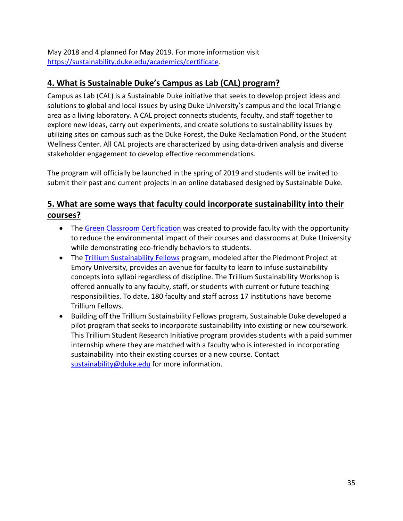May 2018 and 4 planned for May 2019. For more information visit [https://sustainability.duke.edu/academics/certificate.](https://sustainability.duke.edu/academics/certificate)

# **4. What is Sustainable Duke's Campus as Lab (CAL) program?**

Campus as Lab (CAL) is a Sustainable Duke initiative that seeks to develop project ideas and solutions to global and local issues by using Duke University's campus and the local Triangle area as a living laboratory. A CAL project connects students, faculty, and staff together to explore new ideas, carry out experiments, and create solutions to sustainability issues by utilizing sites on campus such as the Duke Forest, the Duke Reclamation Pond, or the Student Wellness Center. All CAL projects are characterized by using data-driven analysis and diverse stakeholder engagement to develop effective recommendations.

The program will officially be launched in the spring of 2019 and students will be invited to submit their past and current projects in an online databased designed by Sustainable Duke.

## **5. What are some ways that faculty could incorporate sustainability into their courses?**

- The [Green Classroom Certification](https://sustainability.duke.edu/action/certification/classroom) was created to provide faculty with the opportunity to reduce the environmental impact of their courses and classrooms at Duke University while demonstrating eco-friendly behaviors to students.
- The [Trillium Sustainability Fellows](https://sites.duke.edu/trillium/) program, modeled after the Piedmont Project at Emory University, provides an avenue for faculty to learn to infuse sustainability concepts into syllabi regardless of discipline. The Trillium Sustainability Workshop is offered annually to any faculty, staff, or students with current or future teaching responsibilities. To date, 180 faculty and staff across 17 institutions have become Trillium Fellows.
- Building off the Trillium Sustainability Fellows program, Sustainable Duke developed a pilot program that seeks to incorporate sustainability into existing or new coursework. This Trillium Student Research Initiative program provides students with a paid summer internship where they are matched with a faculty who is interested in incorporating sustainability into their existing courses or a new course. Contact [sustainability@duke.edu](mailto:sustainability@duke.edu) for more information.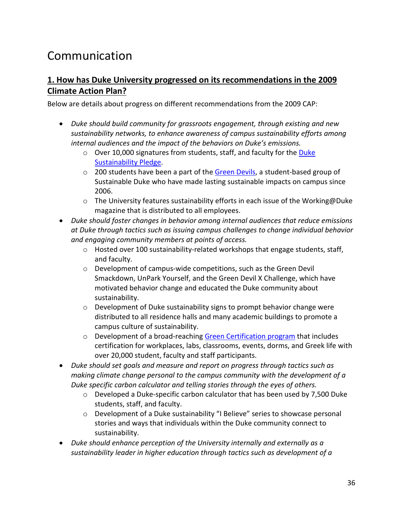# Communication

#### **1. How has Duke University progressed on its recommendations in the 2009 Climate Action Plan?**

Below are details about progress on different recommendations from the 2009 CAP:

- *Duke should build community for grassroots engagement, through existing and new sustainability networks, to enhance awareness of campus sustainability efforts among internal audiences and the impact of the behaviors on Duke's emissions.*
	- o Over 10,000 signatures from students, staff, and faculty for the [Duke](https://sustainability.duke.edu/action)  [Sustainability Pledge.](https://sustainability.duke.edu/action)
	- o 200 students have been a part of the [Green Devils,](https://sustainability.duke.edu/action/green-devils) a student-based group of Sustainable Duke who have made lasting sustainable impacts on campus since 2006.
	- $\circ$  The University features sustainability efforts in each issue of the Working@Duke magazine that is distributed to all employees.
- *Duke should foster changes in behavior among internal audiences that reduce emissions at Duke through tactics such as issuing campus challenges to change individual behavior and engaging community members at points of access.*
	- o Hosted over 100 sustainability-related workshops that engage students, staff, and faculty.
	- o Development of campus-wide competitions, such as the Green Devil Smackdown, UnPark Yourself, and the Green Devil X Challenge, which have motivated behavior change and educated the Duke community about sustainability.
	- o Development of Duke sustainability signs to prompt behavior change were distributed to all residence halls and many academic buildings to promote a campus culture of sustainability.
	- o Development of a broad-reaching [Green Certification program](https://sustainability.duke.edu/action/certification) that includes certification for workplaces, labs, classrooms, events, dorms, and Greek life with over 20,000 student, faculty and staff participants.
- *Duke should set goals and measure and report on progress through tactics such as making climate change personal to the campus community with the development of a Duke specific carbon calculator and telling stories through the eyes of others.*
	- o Developed a Duke-specific carbon calculator that has been used by 7,500 Duke students, staff, and faculty.
	- o Development of a Duke sustainability "I Believe" series to showcase personal stories and ways that individuals within the Duke community connect to sustainability.
- *Duke should enhance perception of the University internally and externally as a sustainability leader in higher education through tactics such as development of a*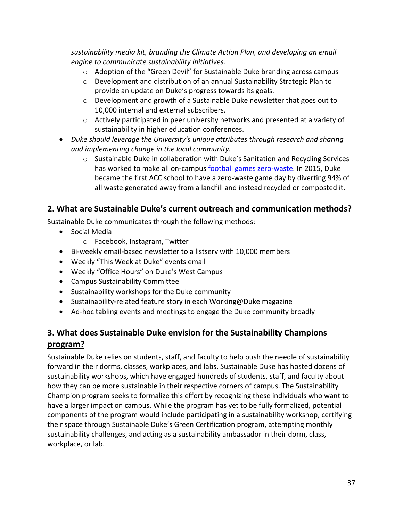*sustainability media kit, branding the Climate Action Plan, and developing an email engine to communicate sustainability initiatives.*

- o Adoption of the "Green Devil" for Sustainable Duke branding across campus
- $\circ$  Development and distribution of an annual Sustainability Strategic Plan to provide an update on Duke's progress towards its goals.
- $\circ$  Development and growth of a Sustainable Duke newsletter that goes out to 10,000 internal and external subscribers.
- $\circ$  Actively participated in peer university networks and presented at a variety of sustainability in higher education conferences.
- *Duke should leverage the University's unique attributes through research and sharing and implementing change in the local community.*
	- o Sustainable Duke in collaboration with Duke's Sanitation and Recycling Services has worked to make all on-campus [football games zero-waste.](https://today.duke.edu/2018/10/aiming-higher-%E2%80%98zero-waste%E2%80%99-football-games) In 2015, Duke became the first ACC school to have a zero-waste game day by diverting 94% of all waste generated away from a landfill and instead recycled or composted it.

## **2. What are Sustainable Duke's current outreach and communication methods?**

Sustainable Duke communicates through the following methods:

- Social Media
	- o Facebook, Instagram, Twitter
- Bi-weekly email-based newsletter to a listserv with 10,000 members
- Weekly "This Week at Duke" events email
- Weekly "Office Hours" on Duke's West Campus
- Campus Sustainability Committee
- Sustainability workshops for the Duke community
- Sustainability-related feature story in each Working@Duke magazine
- Ad-hoc tabling events and meetings to engage the Duke community broadly

# **3. What does Sustainable Duke envision for the Sustainability Champions program?**

Sustainable Duke relies on students, staff, and faculty to help push the needle of sustainability forward in their dorms, classes, workplaces, and labs. Sustainable Duke has hosted dozens of sustainability workshops, which have engaged hundreds of students, staff, and faculty about how they can be more sustainable in their respective corners of campus. The Sustainability Champion program seeks to formalize this effort by recognizing these individuals who want to have a larger impact on campus. While the program has yet to be fully formalized, potential components of the program would include participating in a sustainability workshop, certifying their space through Sustainable Duke's Green Certification program, attempting monthly sustainability challenges, and acting as a sustainability ambassador in their dorm, class, workplace, or lab.